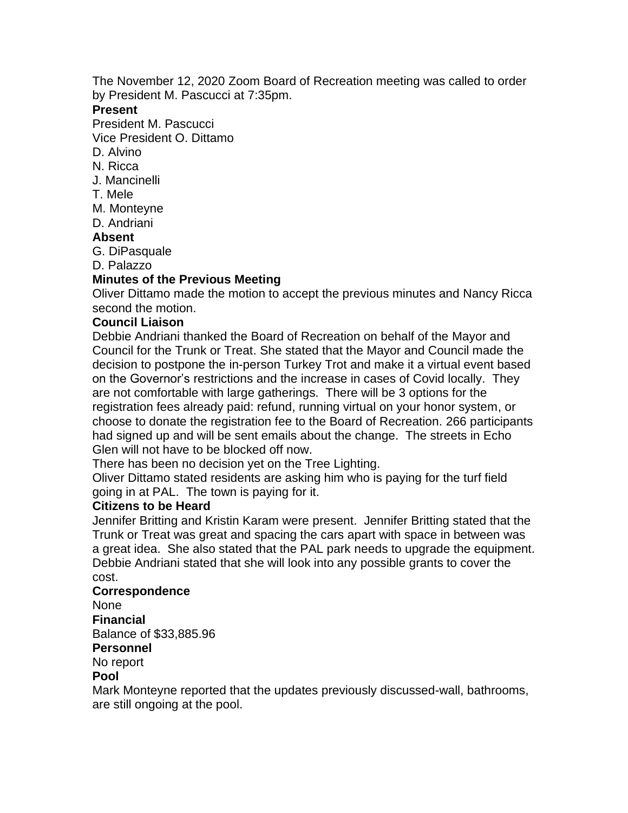The November 12, 2020 Zoom Board of Recreation meeting was called to order by President M. Pascucci at 7:35pm.

### **Present**

President M. Pascucci

Vice President O. Dittamo

- D. Alvino
- N. Ricca
- J. Mancinelli
- T. Mele
- M. Monteyne
- D. Andriani

# **Absent**

G. DiPasquale

D. Palazzo

# **Minutes of the Previous Meeting**

Oliver Dittamo made the motion to accept the previous minutes and Nancy Ricca second the motion.

## **Council Liaison**

Debbie Andriani thanked the Board of Recreation on behalf of the Mayor and Council for the Trunk or Treat. She stated that the Mayor and Council made the decision to postpone the in-person Turkey Trot and make it a virtual event based on the Governor's restrictions and the increase in cases of Covid locally. They are not comfortable with large gatherings. There will be 3 options for the registration fees already paid: refund, running virtual on your honor system, or choose to donate the registration fee to the Board of Recreation. 266 participants had signed up and will be sent emails about the change. The streets in Echo Glen will not have to be blocked off now.

There has been no decision yet on the Tree Lighting.

Oliver Dittamo stated residents are asking him who is paying for the turf field going in at PAL. The town is paying for it.

### **Citizens to be Heard**

Jennifer Britting and Kristin Karam were present. Jennifer Britting stated that the Trunk or Treat was great and spacing the cars apart with space in between was a great idea. She also stated that the PAL park needs to upgrade the equipment. Debbie Andriani stated that she will look into any possible grants to cover the cost.

### **Correspondence**

None

**Financial**

Balance of \$33,885.96

### **Personnel**

No report

### **Pool**

Mark Monteyne reported that the updates previously discussed-wall, bathrooms, are still ongoing at the pool.